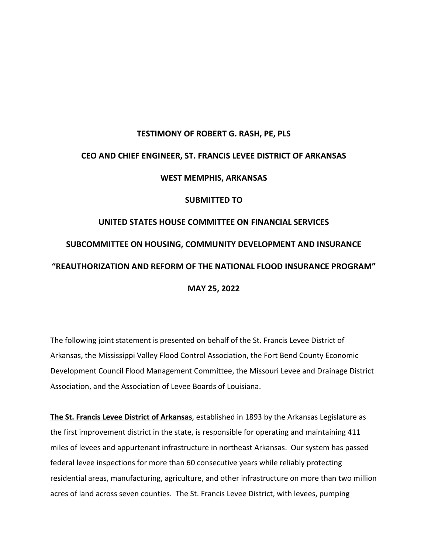# **TESTIMONY OF ROBERT G. RASH, PE, PLS CEO AND CHIEF ENGINEER, ST. FRANCIS LEVEE DISTRICT OF ARKANSAS WEST MEMPHIS, ARKANSAS SUBMITTED TO UNITED STATES HOUSE COMMITTEE ON FINANCIAL SERVICES SUBCOMMITTEE ON HOUSING, COMMUNITY DEVELOPMENT AND INSURANCE**

# **"REAUTHORIZATION AND REFORM OF THE NATIONAL FLOOD INSURANCE PROGRAM"**

**MAY 25, 2022**

The following joint statement is presented on behalf of the St. Francis Levee District of Arkansas, the Mississippi Valley Flood Control Association, the Fort Bend County Economic Development Council Flood Management Committee, the Missouri Levee and Drainage District Association, and the Association of Levee Boards of Louisiana.

**The St. Francis Levee District of Arkansas**, established in 1893 by the Arkansas Legislature as the first improvement district in the state, is responsible for operating and maintaining 411 miles of levees and appurtenant infrastructure in northeast Arkansas. Our system has passed federal levee inspections for more than 60 consecutive years while reliably protecting residential areas, manufacturing, agriculture, and other infrastructure on more than two million acres of land across seven counties. The St. Francis Levee District, with levees, pumping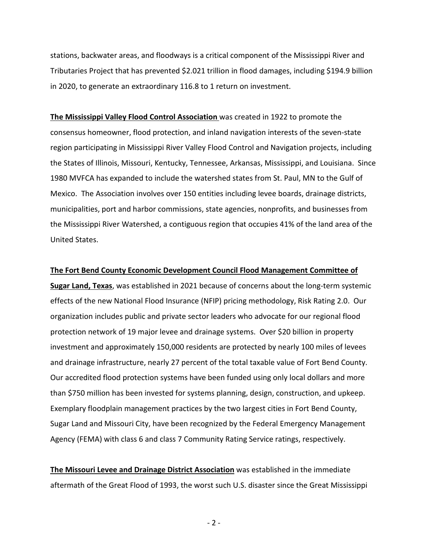stations, backwater areas, and floodways is a critical component of the Mississippi River and Tributaries Project that has prevented \$2.021 trillion in flood damages, including \$194.9 billion in 2020, to generate an extraordinary 116.8 to 1 return on investment.

**The Mississippi Valley Flood Control Association** was created in 1922 to promote the consensus homeowner, flood protection, and inland navigation interests of the seven-state region participating in Mississippi River Valley Flood Control and Navigation projects, including the States of Illinois, Missouri, Kentucky, Tennessee, Arkansas, Mississippi, and Louisiana. Since 1980 MVFCA has expanded to include the watershed states from St. Paul, MN to the Gulf of Mexico. The Association involves over 150 entities including levee boards, drainage districts, municipalities, port and harbor commissions, state agencies, nonprofits, and businesses from the Mississippi River Watershed, a contiguous region that occupies 41% of the land area of the United States.

#### **The Fort Bend County Economic Development Council Flood Management Committee of**

**Sugar Land, Texas**, was established in 2021 because of concerns about the long-term systemic effects of the new National Flood Insurance (NFIP) pricing methodology, Risk Rating 2.0. Our organization includes public and private sector leaders who advocate for our regional flood protection network of 19 major levee and drainage systems. Over \$20 billion in property investment and approximately 150,000 residents are protected by nearly 100 miles of levees and drainage infrastructure, nearly 27 percent of the total taxable value of Fort Bend County. Our accredited flood protection systems have been funded using only local dollars and more than \$750 million has been invested for systems planning, design, construction, and upkeep. Exemplary floodplain management practices by the two largest cities in Fort Bend County, Sugar Land and Missouri City, have been recognized by the Federal Emergency Management Agency (FEMA) with class 6 and class 7 Community Rating Service ratings, respectively.

**The Missouri Levee and Drainage District Association** was established in the immediate aftermath of the Great Flood of 1993, the worst such U.S. disaster since the Great Mississippi

- 2 -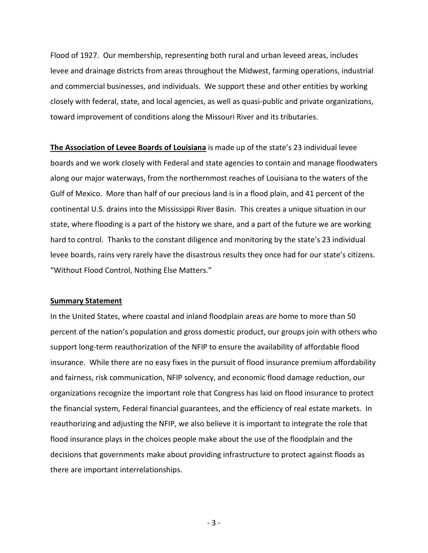Flood of 1927. Our membership, representing both rural and urban leveed areas, includes levee and drainage districts from areas throughout the Midwest, farming operations, industrial and commercial businesses, and individuals. We support these and other entities by working closely with federal, state, and local agencies, as well as quasi-public and private organizations, toward improvement of conditions along the Missouri River and its tributaries.

**The Association of Levee Boards of Louisiana** is made up of the state's 23 individual levee boards and we work closely with Federal and state agencies to contain and manage floodwaters along our major waterways, from the northernmost reaches of Louisiana to the waters of the Gulf of Mexico. More than half of our precious land is in a flood plain, and 41 percent of the continental U.S. drains into the Mississippi River Basin. This creates a unique situation in our state, where flooding is a part of the history we share, and a part of the future we are working hard to control. Thanks to the constant diligence and monitoring by the state's 23 individual levee boards, rains very rarely have the disastrous results they once had for our state's citizens. "Without Flood Control, Nothing Else Matters."

#### **Summary Statement**

In the United States, where coastal and inland floodplain areas are home to more than 50 percent of the nation's population and gross domestic product, our groups join with others who support long-term reauthorization of the NFIP to ensure the availability of affordable flood insurance. While there are no easy fixes in the pursuit of flood insurance premium affordability and fairness, risk communication, NFIP solvency, and economic flood damage reduction, our organizations recognize the important role that Congress has laid on flood insurance to protect the financial system, Federal financial guarantees, and the efficiency of real estate markets. In reauthorizing and adjusting the NFIP, we also believe it is important to integrate the role that flood insurance plays in the choices people make about the use of the floodplain and the decisions that governments make about providing infrastructure to protect against floods as there are important interrelationships.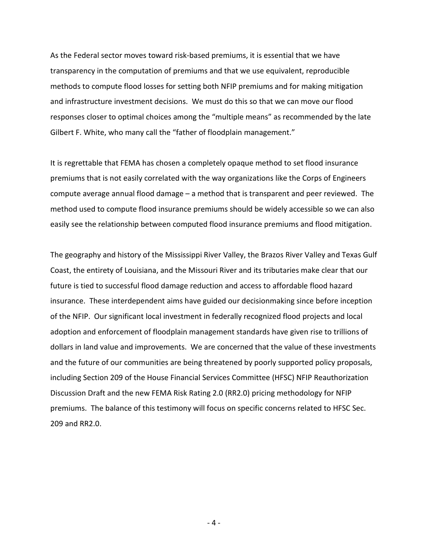As the Federal sector moves toward risk-based premiums, it is essential that we have transparency in the computation of premiums and that we use equivalent, reproducible methods to compute flood losses for setting both NFIP premiums and for making mitigation and infrastructure investment decisions. We must do this so that we can move our flood responses closer to optimal choices among the "multiple means" as recommended by the late Gilbert F. White, who many call the "father of floodplain management."

It is regrettable that FEMA has chosen a completely opaque method to set flood insurance premiums that is not easily correlated with the way organizations like the Corps of Engineers compute average annual flood damage – a method that is transparent and peer reviewed. The method used to compute flood insurance premiums should be widely accessible so we can also easily see the relationship between computed flood insurance premiums and flood mitigation.

The geography and history of the Mississippi River Valley, the Brazos River Valley and Texas Gulf Coast, the entirety of Louisiana, and the Missouri River and its tributaries make clear that our future is tied to successful flood damage reduction and access to affordable flood hazard insurance. These interdependent aims have guided our decisionmaking since before inception of the NFIP. Our significant local investment in federally recognized flood projects and local adoption and enforcement of floodplain management standards have given rise to trillions of dollars in land value and improvements. We are concerned that the value of these investments and the future of our communities are being threatened by poorly supported policy proposals, including Section 209 of the House Financial Services Committee (HFSC) NFIP Reauthorization Discussion Draft and the new FEMA Risk Rating 2.0 (RR2.0) pricing methodology for NFIP premiums. The balance of this testimony will focus on specific concerns related to HFSC Sec. 209 and RR2.0.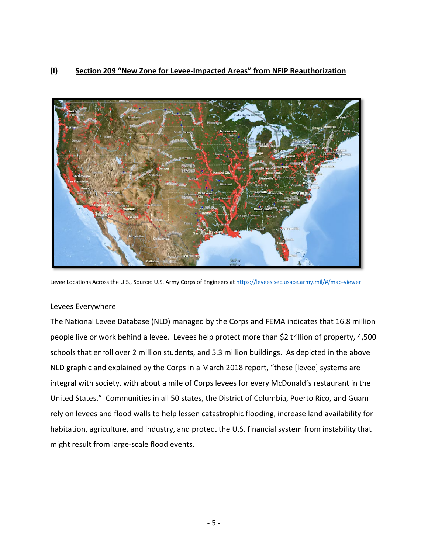# **(I) Section 209 "New Zone for Levee-Impacted Areas" from NFIP Reauthorization**



Levee Locations Across the U.S., Source: U.S. Army Corps of Engineers at https://levees.sec.usace.army.mil/#/map-viewer

#### Levees Everywhere

The National Levee Database (NLD) managed by the Corps and FEMA indicates that 16.8 million people live or work behind a levee. Levees help protect more than \$2 trillion of property, 4,500 schools that enroll over 2 million students, and 5.3 million buildings. As depicted in the above NLD graphic and explained by the Corps in a March 2018 report, "these [levee] systems are integral with society, with about a mile of Corps levees for every McDonald's restaurant in the United States." Communities in all 50 states, the District of Columbia, Puerto Rico, and Guam rely on levees and flood walls to help lessen catastrophic flooding, increase land availability for habitation, agriculture, and industry, and protect the U.S. financial system from instability that might result from large-scale flood events.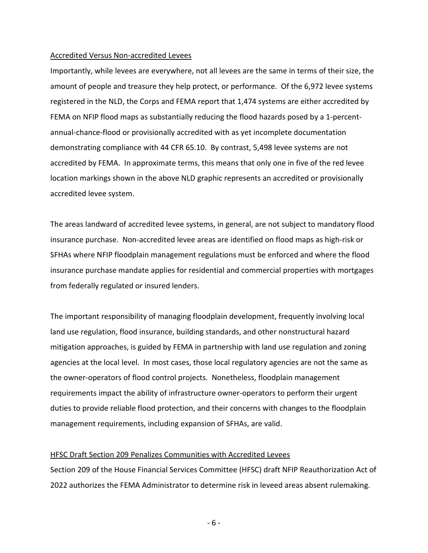#### Accredited Versus Non-accredited Levees

Importantly, while levees are everywhere, not all levees are the same in terms of their size, the amount of people and treasure they help protect, or performance. Of the 6,972 levee systems registered in the NLD, the Corps and FEMA report that 1,474 systems are either accredited by FEMA on NFIP flood maps as substantially reducing the flood hazards posed by a 1-percentannual-chance-flood or provisionally accredited with as yet incomplete documentation demonstrating compliance with 44 CFR 65.10. By contrast, 5,498 levee systems are not accredited by FEMA. In approximate terms, this means that only one in five of the red levee location markings shown in the above NLD graphic represents an accredited or provisionally accredited levee system.

The areas landward of accredited levee systems, in general, are not subject to mandatory flood insurance purchase. Non-accredited levee areas are identified on flood maps as high-risk or SFHAs where NFIP floodplain management regulations must be enforced and where the flood insurance purchase mandate applies for residential and commercial properties with mortgages from federally regulated or insured lenders.

The important responsibility of managing floodplain development, frequently involving local land use regulation, flood insurance, building standards, and other nonstructural hazard mitigation approaches, is guided by FEMA in partnership with land use regulation and zoning agencies at the local level. In most cases, those local regulatory agencies are not the same as the owner-operators of flood control projects. Nonetheless, floodplain management requirements impact the ability of infrastructure owner-operators to perform their urgent duties to provide reliable flood protection, and their concerns with changes to the floodplain management requirements, including expansion of SFHAs, are valid.

#### HFSC Draft Section 209 Penalizes Communities with Accredited Levees

Section 209 of the House Financial Services Committee (HFSC) draft NFIP Reauthorization Act of 2022 authorizes the FEMA Administrator to determine risk in leveed areas absent rulemaking.

- 6 -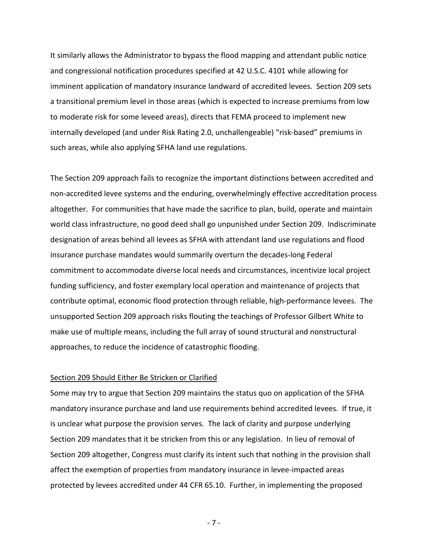It similarly allows the Administrator to bypass the flood mapping and attendant public notice and congressional notification procedures specified at 42 U.S.C. 4101 while allowing for imminent application of mandatory insurance landward of accredited levees. Section 209 sets a transitional premium level in those areas (which is expected to increase premiums from low to moderate risk for some leveed areas), directs that FEMA proceed to implement new internally developed (and under Risk Rating 2.0, unchallengeable) "risk-based" premiums in such areas, while also applying SFHA land use regulations.

The Section 209 approach fails to recognize the important distinctions between accredited and non-accredited levee systems and the enduring, overwhelmingly effective accreditation process altogether. For communities that have made the sacrifice to plan, build, operate and maintain world class infrastructure, no good deed shall go unpunished under Section 209. Indiscriminate designation of areas behind all levees as SFHA with attendant land use regulations and flood insurance purchase mandates would summarily overturn the decades-long Federal commitment to accommodate diverse local needs and circumstances, incentivize local project funding sufficiency, and foster exemplary local operation and maintenance of projects that contribute optimal, economic flood protection through reliable, high-performance levees. The unsupported Section 209 approach risks flouting the teachings of Professor Gilbert White to make use of multiple means, including the full array of sound structural and nonstructural approaches, to reduce the incidence of catastrophic flooding.

#### Section 209 Should Either Be Stricken or Clarified

Some may try to argue that Section 209 maintains the status quo on application of the SFHA mandatory insurance purchase and land use requirements behind accredited levees. If true, it is unclear what purpose the provision serves. The lack of clarity and purpose underlying Section 209 mandates that it be stricken from this or any legislation. In lieu of removal of Section 209 altogether, Congress must clarify its intent such that nothing in the provision shall affect the exemption of properties from mandatory insurance in levee-impacted areas protected by levees accredited under 44 CFR 65.10. Further, in implementing the proposed

- 7 -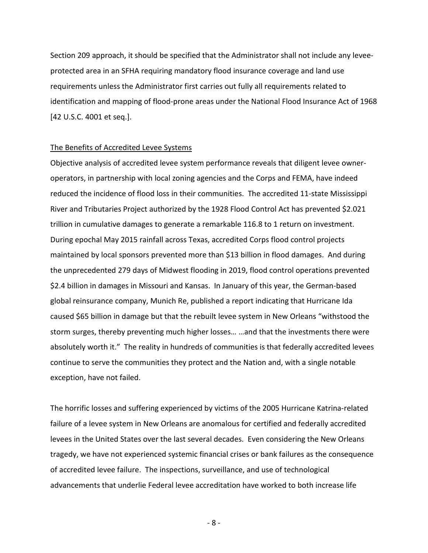Section 209 approach, it should be specified that the Administrator shall not include any leveeprotected area in an SFHA requiring mandatory flood insurance coverage and land use requirements unless the Administrator first carries out fully all requirements related to identification and mapping of flood-prone areas under the National Flood Insurance Act of 1968 [42 U.S.C. 4001 et seq.].

#### The Benefits of Accredited Levee Systems

Objective analysis of accredited levee system performance reveals that diligent levee owneroperators, in partnership with local zoning agencies and the Corps and FEMA, have indeed reduced the incidence of flood loss in their communities. The accredited 11-state Mississippi River and Tributaries Project authorized by the 1928 Flood Control Act has prevented \$2.021 trillion in cumulative damages to generate a remarkable 116.8 to 1 return on investment. During epochal May 2015 rainfall across Texas, accredited Corps flood control projects maintained by local sponsors prevented more than \$13 billion in flood damages. And during the unprecedented 279 days of Midwest flooding in 2019, flood control operations prevented \$2.4 billion in damages in Missouri and Kansas. In January of this year, the German-based global reinsurance company, Munich Re, published a report indicating that Hurricane Ida caused \$65 billion in damage but that the rebuilt levee system in New Orleans "withstood the storm surges, thereby preventing much higher losses… …and that the investments there were absolutely worth it." The reality in hundreds of communities is that federally accredited levees continue to serve the communities they protect and the Nation and, with a single notable exception, have not failed.

The horrific losses and suffering experienced by victims of the 2005 Hurricane Katrina-related failure of a levee system in New Orleans are anomalous for certified and federally accredited levees in the United States over the last several decades. Even considering the New Orleans tragedy, we have not experienced systemic financial crises or bank failures as the consequence of accredited levee failure. The inspections, surveillance, and use of technological advancements that underlie Federal levee accreditation have worked to both increase life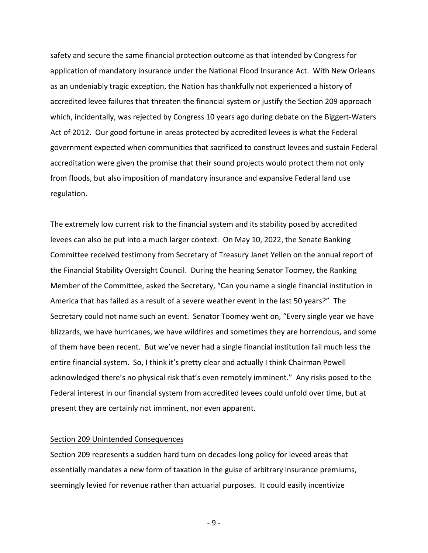safety and secure the same financial protection outcome as that intended by Congress for application of mandatory insurance under the National Flood Insurance Act. With New Orleans as an undeniably tragic exception, the Nation has thankfully not experienced a history of accredited levee failures that threaten the financial system or justify the Section 209 approach which, incidentally, was rejected by Congress 10 years ago during debate on the Biggert-Waters Act of 2012. Our good fortune in areas protected by accredited levees is what the Federal government expected when communities that sacrificed to construct levees and sustain Federal accreditation were given the promise that their sound projects would protect them not only from floods, but also imposition of mandatory insurance and expansive Federal land use regulation.

The extremely low current risk to the financial system and its stability posed by accredited levees can also be put into a much larger context. On May 10, 2022, the Senate Banking Committee received testimony from Secretary of Treasury Janet Yellen on the annual report of the Financial Stability Oversight Council. During the hearing Senator Toomey, the Ranking Member of the Committee, asked the Secretary, "Can you name a single financial institution in America that has failed as a result of a severe weather event in the last 50 years?" The Secretary could not name such an event. Senator Toomey went on, "Every single year we have blizzards, we have hurricanes, we have wildfires and sometimes they are horrendous, and some of them have been recent. But we've never had a single financial institution fail much less the entire financial system. So, I think it's pretty clear and actually I think Chairman Powell acknowledged there's no physical risk that's even remotely imminent." Any risks posed to the Federal interest in our financial system from accredited levees could unfold over time, but at present they are certainly not imminent, nor even apparent.

#### Section 209 Unintended Consequences

Section 209 represents a sudden hard turn on decades-long policy for leveed areas that essentially mandates a new form of taxation in the guise of arbitrary insurance premiums, seemingly levied for revenue rather than actuarial purposes. It could easily incentivize

- 9 -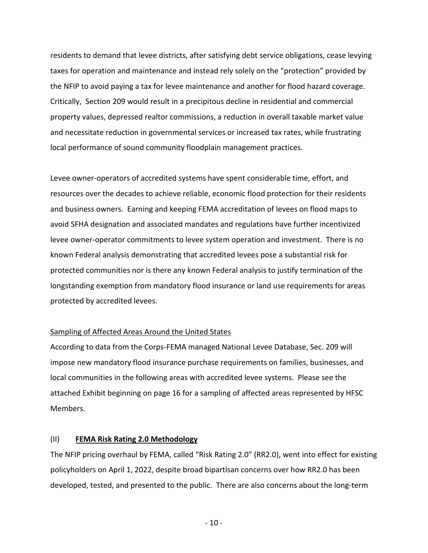residents to demand that levee districts, after satisfying debt service obligations, cease levying taxes for operation and maintenance and instead rely solely on the "protection" provided by the NFIP to avoid paying a tax for levee maintenance and another for flood hazard coverage. Critically, Section 209 would result in a precipitous decline in residential and commercial property values, depressed realtor commissions, a reduction in overall taxable market value and necessitate reduction in governmental services or increased tax rates, while frustrating local performance of sound community floodplain management practices.

Levee owner-operators of accredited systems have spent considerable time, effort, and resources over the decades to achieve reliable, economic flood protection for their residents and business owners. Earning and keeping FEMA accreditation of levees on flood maps to avoid SFHA designation and associated mandates and regulations have further incentivized levee owner-operator commitments to levee system operation and investment. There is no known Federal analysis demonstrating that accredited levees pose a substantial risk for protected communities nor is there any known Federal analysis to justify termination of the longstanding exemption from mandatory flood insurance or land use requirements for areas protected by accredited levees.

### Sampling of Affected Areas Around the United States

According to data from the Corps-FEMA managed National Levee Database, Sec. 209 will impose new mandatory flood insurance purchase requirements on families, businesses, and local communities in the following areas with accredited levee systems. Please see the attached Exhibit beginning on page 16 for a sampling of affected areas represented by HFSC Members.

#### (II) **FEMA Risk Rating 2.0 Methodology**

The NFIP pricing overhaul by FEMA, called "Risk Rating 2.0" (RR2.0), went into effect for existing policyholders on April 1, 2022, despite broad bipartisan concerns over how RR2.0 has been developed, tested, and presented to the public. There are also concerns about the long-term

- 10 -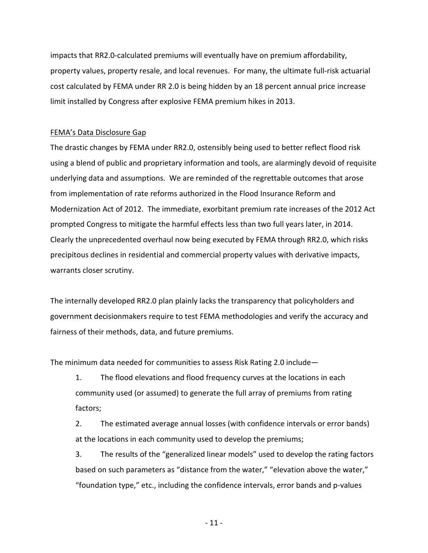impacts that RR2.0-calculated premiums will eventually have on premium affordability, property values, property resale, and local revenues. For many, the ultimate full-risk actuarial cost calculated by FEMA under RR 2.0 is being hidden by an 18 percent annual price increase limit installed by Congress after explosive FEMA premium hikes in 2013.

# FEMA's Data Disclosure Gap

The drastic changes by FEMA under RR2.0, ostensibly being used to better reflect flood risk using a blend of public and proprietary information and tools, are alarmingly devoid of requisite underlying data and assumptions. We are reminded of the regrettable outcomes that arose from implementation of rate reforms authorized in the Flood Insurance Reform and Modernization Act of 2012. The immediate, exorbitant premium rate increases of the 2012 Act prompted Congress to mitigate the harmful effects less than two full years later, in 2014. Clearly the unprecedented overhaul now being executed by FEMA through RR2.0, which risks precipitous declines in residential and commercial property values with derivative impacts, warrants closer scrutiny.

The internally developed RR2.0 plan plainly lacks the transparency that policyholders and government decisionmakers require to test FEMA methodologies and verify the accuracy and fairness of their methods, data, and future premiums.

The minimum data needed for communities to assess Risk Rating 2.0 include—

1. The flood elevations and flood frequency curves at the locations in each community used (or assumed) to generate the full array of premiums from rating factors;

2. The estimated average annual losses (with confidence intervals or error bands) at the locations in each community used to develop the premiums;

3. The results of the "generalized linear models" used to develop the rating factors based on such parameters as "distance from the water," "elevation above the water," "foundation type," etc., including the confidence intervals, error bands and p-values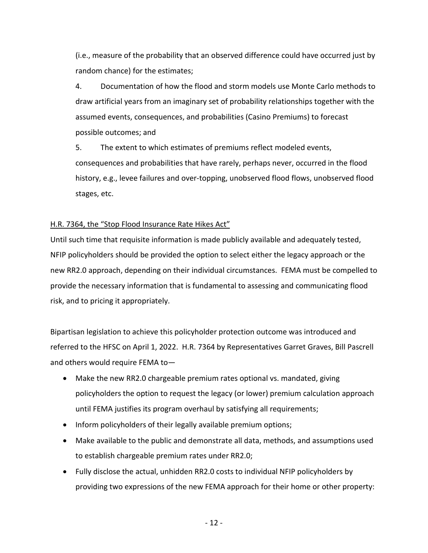(i.e., measure of the probability that an observed difference could have occurred just by random chance) for the estimates;

4. Documentation of how the flood and storm models use Monte Carlo methods to draw artificial years from an imaginary set of probability relationships together with the assumed events, consequences, and probabilities (Casino Premiums) to forecast possible outcomes; and

5. The extent to which estimates of premiums reflect modeled events, consequences and probabilities that have rarely, perhaps never, occurred in the flood history, e.g., levee failures and over-topping, unobserved flood flows, unobserved flood stages, etc.

# H.R. 7364, the "Stop Flood Insurance Rate Hikes Act"

Until such time that requisite information is made publicly available and adequately tested, NFIP policyholders should be provided the option to select either the legacy approach or the new RR2.0 approach, depending on their individual circumstances. FEMA must be compelled to provide the necessary information that is fundamental to assessing and communicating flood risk, and to pricing it appropriately.

Bipartisan legislation to achieve this policyholder protection outcome was introduced and referred to the HFSC on April 1, 2022. H.R. 7364 by Representatives Garret Graves, Bill Pascrell and others would require FEMA to—

- Make the new RR2.0 chargeable premium rates optional vs. mandated, giving policyholders the option to request the legacy (or lower) premium calculation approach until FEMA justifies its program overhaul by satisfying all requirements;
- Inform policyholders of their legally available premium options;
- Make available to the public and demonstrate all data, methods, and assumptions used to establish chargeable premium rates under RR2.0;
- Fully disclose the actual, unhidden RR2.0 costs to individual NFIP policyholders by providing two expressions of the new FEMA approach for their home or other property: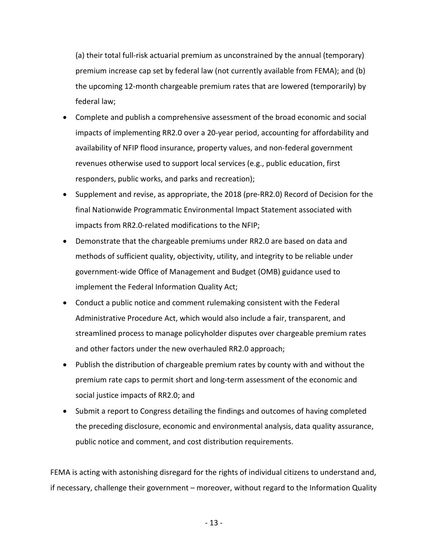(a) their total full-risk actuarial premium as unconstrained by the annual (temporary) premium increase cap set by federal law (not currently available from FEMA); and (b) the upcoming 12-month chargeable premium rates that are lowered (temporarily) by federal law;

- Complete and publish a comprehensive assessment of the broad economic and social impacts of implementing RR2.0 over a 20-year period, accounting for affordability and availability of NFIP flood insurance, property values, and non-federal government revenues otherwise used to support local services (e.g., public education, first responders, public works, and parks and recreation);
- Supplement and revise, as appropriate, the 2018 (pre-RR2.0) Record of Decision for the final Nationwide Programmatic Environmental Impact Statement associated with impacts from RR2.0-related modifications to the NFIP;
- Demonstrate that the chargeable premiums under RR2.0 are based on data and methods of sufficient quality, objectivity, utility, and integrity to be reliable under government-wide Office of Management and Budget (OMB) guidance used to implement the Federal Information Quality Act;
- Conduct a public notice and comment rulemaking consistent with the Federal Administrative Procedure Act, which would also include a fair, transparent, and streamlined process to manage policyholder disputes over chargeable premium rates and other factors under the new overhauled RR2.0 approach;
- Publish the distribution of chargeable premium rates by county with and without the premium rate caps to permit short and long-term assessment of the economic and social justice impacts of RR2.0; and
- Submit a report to Congress detailing the findings and outcomes of having completed the preceding disclosure, economic and environmental analysis, data quality assurance, public notice and comment, and cost distribution requirements.

FEMA is acting with astonishing disregard for the rights of individual citizens to understand and, if necessary, challenge their government – moreover, without regard to the Information Quality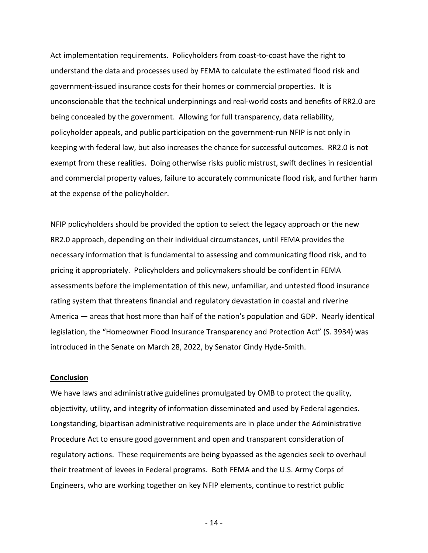Act implementation requirements. Policyholders from coast-to-coast have the right to understand the data and processes used by FEMA to calculate the estimated flood risk and government-issued insurance costs for their homes or commercial properties. It is unconscionable that the technical underpinnings and real-world costs and benefits of RR2.0 are being concealed by the government. Allowing for full transparency, data reliability, policyholder appeals, and public participation on the government-run NFIP is not only in keeping with federal law, but also increases the chance for successful outcomes. RR2.0 is not exempt from these realities. Doing otherwise risks public mistrust, swift declines in residential and commercial property values, failure to accurately communicate flood risk, and further harm at the expense of the policyholder.

NFIP policyholders should be provided the option to select the legacy approach or the new RR2.0 approach, depending on their individual circumstances, until FEMA provides the necessary information that is fundamental to assessing and communicating flood risk, and to pricing it appropriately. Policyholders and policymakers should be confident in FEMA assessments before the implementation of this new, unfamiliar, and untested flood insurance rating system that threatens financial and regulatory devastation in coastal and riverine America — areas that host more than half of the nation's population and GDP. Nearly identical legislation, the "Homeowner Flood Insurance Transparency and Protection Act" (S. 3934) was introduced in the Senate on March 28, 2022, by Senator Cindy Hyde-Smith.

#### **Conclusion**

We have laws and administrative guidelines promulgated by OMB to protect the quality, objectivity, utility, and integrity of information disseminated and used by Federal agencies. Longstanding, bipartisan administrative requirements are in place under the Administrative Procedure Act to ensure good government and open and transparent consideration of regulatory actions. These requirements are being bypassed as the agencies seek to overhaul their treatment of levees in Federal programs. Both FEMA and the U.S. Army Corps of Engineers, who are working together on key NFIP elements, continue to restrict public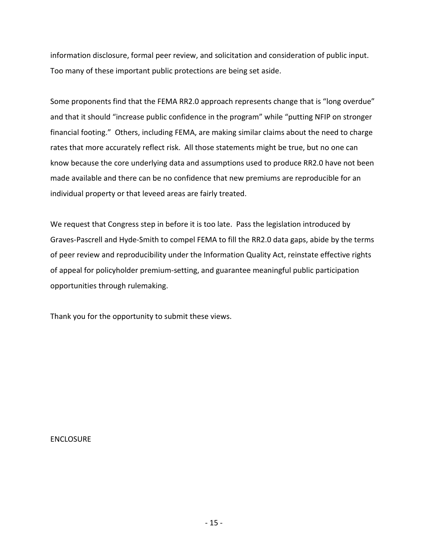information disclosure, formal peer review, and solicitation and consideration of public input. Too many of these important public protections are being set aside.

Some proponents find that the FEMA RR2.0 approach represents change that is "long overdue" and that it should "increase public confidence in the program" while "putting NFIP on stronger financial footing." Others, including FEMA, are making similar claims about the need to charge rates that more accurately reflect risk. All those statements might be true, but no one can know because the core underlying data and assumptions used to produce RR2.0 have not been made available and there can be no confidence that new premiums are reproducible for an individual property or that leveed areas are fairly treated.

We request that Congress step in before it is too late. Pass the legislation introduced by Graves-Pascrell and Hyde-Smith to compel FEMA to fill the RR2.0 data gaps, abide by the terms of peer review and reproducibility under the Information Quality Act, reinstate effective rights of appeal for policyholder premium-setting, and guarantee meaningful public participation opportunities through rulemaking.

Thank you for the opportunity to submit these views.

ENCLOSURE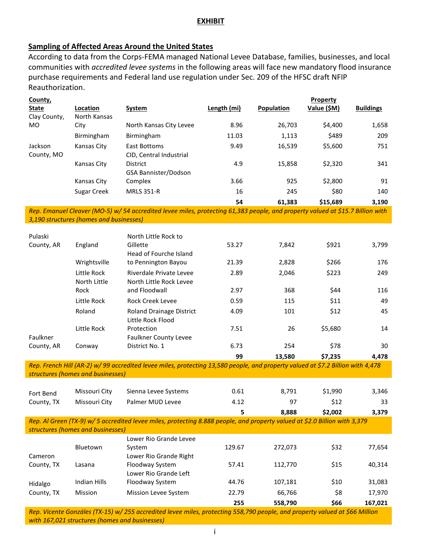# **EXHIBIT**

# **Sampling of Affected Areas Around the United States**

According to data from the Corps-FEMA managed National Levee Database, families, businesses, and local communities with *accredited levee systems* in the following areas will face new mandatory flood insurance purchase requirements and Federal land use regulation under Sec. 209 of the HFSC draft NFIP Reauthorization.

| County,      |              |                         |             |            | Property    |                  |
|--------------|--------------|-------------------------|-------------|------------|-------------|------------------|
| <b>State</b> | Location     | <b>System</b>           | Length (mi) | Population | Value (\$M) | <b>Buildings</b> |
| Clay County, | North Kansas |                         |             |            |             |                  |
| <b>MO</b>    | City         | North Kansas City Levee | 8.96        | 26,703     | \$4,400     | 1,658            |
|              | Birmingham   | Birmingham              | 11.03       | 1,113      | \$489       | 209              |
| Jackson      | Kansas City  | <b>East Bottoms</b>     | 9.49        | 16,539     | \$5,600     | 751              |
| County, MO   |              | CID. Central Industrial |             |            |             |                  |
|              | Kansas City  | <b>District</b>         | 4.9         | 15.858     | \$2,320     | 341              |
|              |              | GSA Bannister/Dodson    |             |            |             |                  |
|              | Kansas City  | Complex                 | 3.66        | 925        | \$2,800     | 91               |
|              | Sugar Creek  | <b>MRLS 351-R</b>       | 16          | 245        | \$80        | 140              |
|              |              |                         | 54          | 61,383     | \$15,689    | 3,190            |

*Rep. Emanuel Cleaver (MO-5) w/ 54 accredited levee miles, protecting 61,383 people, and property valued at \$15.7 Billion with 3,190 structures (homes and businesses)*

| Pulaski    |              | North Little Rock to            |       |        |         |       |
|------------|--------------|---------------------------------|-------|--------|---------|-------|
| County, AR | England      | Gillette                        | 53.27 | 7,842  | \$921   | 3,799 |
|            |              | Head of Fourche Island          |       |        |         |       |
|            | Wrightsville | to Pennington Bayou             | 21.39 | 2,828  | \$266   | 176   |
|            | Little Rock  | Riverdale Private Levee         | 2.89  | 2,046  | \$223   | 249   |
|            | North Little | North Little Rock Levee         |       |        |         |       |
|            | Rock         | and Floodwall                   | 2.97  | 368    | \$44    | 116   |
|            | Little Rock  | Rock Creek Levee                | 0.59  | 115    | \$11    | 49    |
|            | Roland       | <b>Roland Drainage District</b> | 4.09  | 101    | \$12    | 45    |
|            |              | Little Rock Flood               |       |        |         |       |
|            | Little Rock  | Protection                      | 7.51  | 26     | \$5,680 | 14    |
| Faulkner   |              | <b>Faulkner County Levee</b>    |       |        |         |       |
| County, AR | Conway       | District No. 1                  | 6.73  | 254    | \$78    | 30    |
|            |              |                                 | 99    | 13.580 | \$7,235 | 4.478 |

*Rep. French Hill (AR-2) w/ 99 accredited levee miles, protecting 13,580 people, and property valued at \$7.2 Billion with 4,478 structures (homes and businesses)*

|            |               |                      |      | 8.888 | \$2,002 | 3,379 |
|------------|---------------|----------------------|------|-------|---------|-------|
| County, TX | Missouri City | Palmer MUD Levee     | 4.12 | 97    | \$12    | 33    |
| Fort Bend  | Missouri City | Sienna Levee Systems | 0.61 | 8.791 | \$1,990 | 3,346 |

*Rep. Al Green (TX-9) w/ 5 accredited levee miles, protecting 8.888 people, and property valued at \$2.0 Billion with 3,379 structures (homes and businesses)*

|            |                | Lower Rio Grande Levee      |        |         |      |         |
|------------|----------------|-----------------------------|--------|---------|------|---------|
|            | Bluetown       | System                      | 129.67 | 272.073 | \$32 | 77,654  |
| Cameron    |                | Lower Rio Grande Right      |        |         |      |         |
| County, TX | Lasana         | Floodway System             | 57.41  | 112.770 | \$15 | 40,314  |
|            |                | Lower Rio Grande Left       |        |         |      |         |
| Hidalgo    | Indian Hills   | Floodway System             | 44.76  | 107.181 | \$10 | 31,083  |
| County, TX | <b>Mission</b> | <b>Mission Levee System</b> | 22.79  | 66.766  | \$8  | 17,970  |
|            |                |                             | 255    | 558.790 | \$66 | 167,021 |

*Rep. Vicente Gonzáles (TX-15) w/ 255 accredited levee miles, protecting 558,790 people, and property valued at \$66 Million with 167,021 structures (homes and businesses)*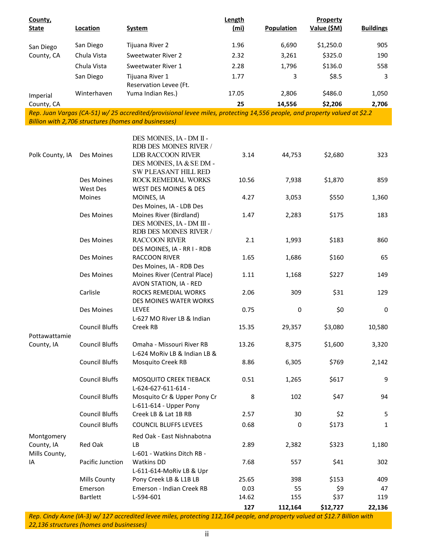| County,<br><b>State</b>  | Location               | <b>System</b>                                                                                                            | Length<br>(mi) | <b>Population</b> | Property<br>Value (\$M) | <b>Buildings</b> |
|--------------------------|------------------------|--------------------------------------------------------------------------------------------------------------------------|----------------|-------------------|-------------------------|------------------|
|                          | San Diego              | Tijuana River 2                                                                                                          | 1.96           | 6,690             | \$1,250.0               | 905              |
| San Diego<br>County, CA  | Chula Vista            | Sweetwater River 2                                                                                                       | 2.32           | 3,261             | \$325.0                 | 190              |
|                          | Chula Vista            | Sweetwater River 1                                                                                                       | 2.28           | 1,796             | \$136.0                 | 558              |
|                          |                        |                                                                                                                          |                |                   |                         |                  |
|                          | San Diego              | Tijuana River 1<br>Reservation Levee (Ft.                                                                                | 1.77           | 3                 | \$8.5                   | 3                |
| Imperial                 | Winterhaven            | Yuma Indian Res.)                                                                                                        | 17.05          | 2,806             | \$486.0                 | 1,050            |
| County, CA               |                        |                                                                                                                          | 25             | 14,556            | \$2,206                 | 2,706            |
|                          |                        | Rep. Juan Vargas (CA-51) w/25 accredited/provisional levee miles, protecting 14,556 people, and property valued at \$2.2 |                |                   |                         |                  |
|                          |                        | Billion with 2,706 structures (homes and businesses)                                                                     |                |                   |                         |                  |
|                          |                        | DES MOINES, IA - DM II -<br>RDB DES MOINES RIVER /                                                                       |                |                   |                         |                  |
| Polk County, IA          | Des Moines             | <b>LDB RACCOON RIVER</b><br>DES MOINES, IA & SE DM -<br><b>SW PLEASANT HILL RED</b>                                      | 3.14           | 44,753            | \$2,680                 | 323              |
|                          | Des Moines<br>West Des | ROCK REMEDIAL WORKS<br>WEST DES MOINES & DES                                                                             | 10.56          | 7,938             | \$1,870                 | 859              |
|                          | Moines                 | MOINES, IA                                                                                                               | 4.27           | 3,053             | \$550                   | 1,360            |
|                          |                        | Des Moines, IA - LDB Des                                                                                                 |                |                   |                         |                  |
|                          | Des Moines             | Moines River (Birdland)                                                                                                  | 1.47           | 2,283             | \$175                   | 183              |
|                          | Des Moines             | DES MOINES, IA - DM III -<br>RDB DES MOINES RIVER /<br><b>RACCOON RIVER</b>                                              | 2.1            | 1,993             | \$183                   | 860              |
|                          | Des Moines             | DES MOINES, IA - RR I - RDB<br>RACCOON RIVER                                                                             | 1.65           |                   | \$160                   | 65               |
|                          |                        | Des Moines, IA - RDB Des                                                                                                 |                | 1,686             |                         |                  |
|                          | Des Moines             | Moines River (Central Place)<br>AVON STATION, IA - RED                                                                   | 1.11           | 1,168             | \$227                   | 149              |
|                          | Carlisle               | ROCKS REMEDIAL WORKS<br>DES MOINES WATER WORKS                                                                           | 2.06           | 309               | \$31                    | 129              |
|                          | Des Moines             | LEVEE<br>L-627 MO River LB & Indian                                                                                      | 0.75           | $\mathbf 0$       | \$0                     | $\mathbf 0$      |
| Pottawattamie            | <b>Council Bluffs</b>  | Creek RB                                                                                                                 | 15.35          | 29,357            | \$3,080                 | 10,580           |
| County, IA               | <b>Council Bluffs</b>  | Omaha - Missouri River RB<br>L-624 MoRiv LB & Indian LB &                                                                | 13.26          | 8,375             | \$1,600                 | 3,320            |
|                          | <b>Council Bluffs</b>  | Mosquito Creek RB                                                                                                        | 8.86           | 6,305             | \$769                   | 2,142            |
|                          | <b>Council Bluffs</b>  | MOSQUITO CREEK TIEBACK<br>L-624-627-611-614 -                                                                            | 0.51           | 1,265             | \$617                   | 9                |
|                          | <b>Council Bluffs</b>  | Mosquito Cr & Upper Pony Cr<br>L-611-614 - Upper Pony                                                                    | 8              | 102               | \$47                    | 94               |
|                          | <b>Council Bluffs</b>  | Creek LB & Lat 1B RB                                                                                                     | 2.57           | 30                | \$2                     | 5                |
|                          | <b>Council Bluffs</b>  | <b>COUNCIL BLUFFS LEVEES</b>                                                                                             | 0.68           | 0                 | \$173                   | $\mathbf{1}$     |
| Montgomery<br>County, IA | Red Oak                | Red Oak - East Nishnabotna<br>LB                                                                                         | 2.89           | 2,382             | \$323                   | 1,180            |
| Mills County,            |                        | L-601 - Watkins Ditch RB -                                                                                               |                |                   |                         |                  |
| IA                       | Pacific Junction       | Watkins DD<br>L-611-614-MoRiv LB & Upr                                                                                   | 7.68           | 557               | \$41                    | 302              |
|                          | Mills County           | Pony Creek LB & L1B LB                                                                                                   | 25.65          | 398               | \$153                   | 409              |
|                          | Emerson                | Emerson - Indian Creek RB                                                                                                | 0.03           | 55                | \$9                     | 47               |
|                          | <b>Bartlett</b>        | L-594-601                                                                                                                | 14.62          | 155               | \$37                    | 119              |
|                          |                        |                                                                                                                          | 127            | 112,164           | \$12,727                | 22,136           |

*Rep. Cindy Axne (IA-3) w/ 127 accredited levee miles, protecting 112,164 people, and property valued at \$12.7 Billion with 22,136 structures (homes and businesses)*